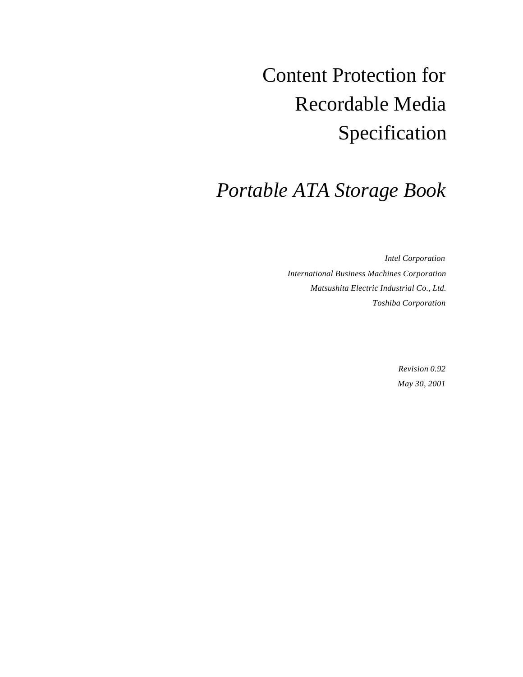# Content Protection for Recordable Media Specification

## *Portable ATA Storage Book*

*Intel Corporation International Business Machines Corporation Matsushita Electric Industrial Co., Ltd. Toshiba Corporation*

> *Revision 0.92 May 30, 2001*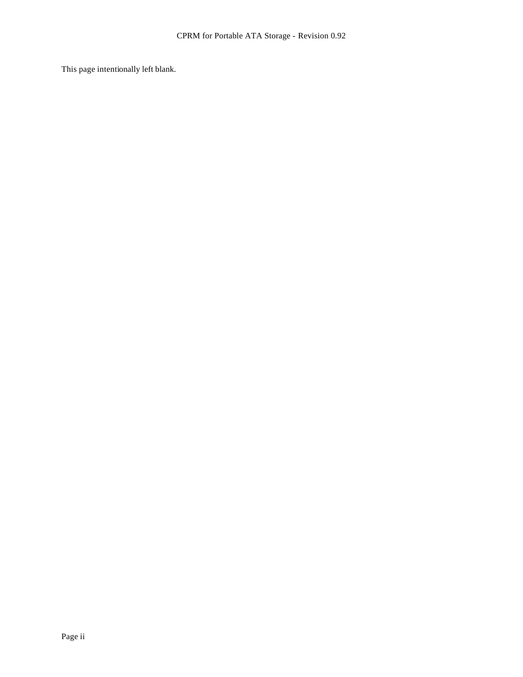This page intentionally left blank.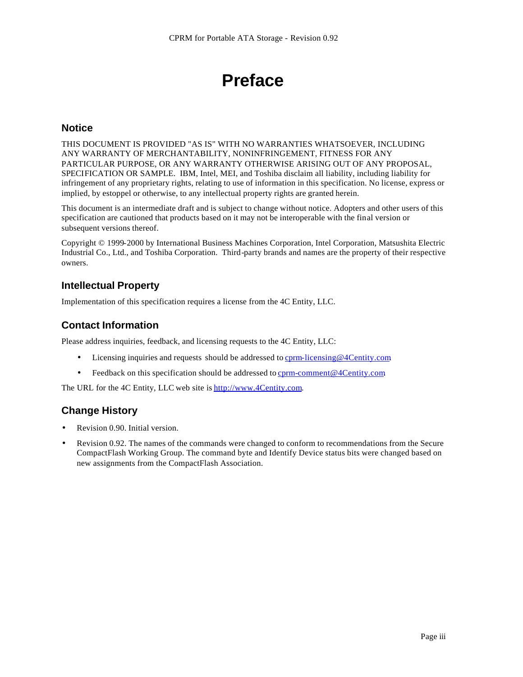## **Preface**

#### **Notice**

THIS DOCUMENT IS PROVIDED "AS IS" WITH NO WARRANTIES WHATSOEVER, INCLUDING ANY WARRANTY OF MERCHANTABILITY, NONINFRINGEMENT, FITNESS FOR ANY PARTICULAR PURPOSE, OR ANY WARRANTY OTHERWISE ARISING OUT OF ANY PROPOSAL, SPECIFICATION OR SAMPLE. IBM, Intel, MEI, and Toshiba disclaim all liability, including liability for infringement of any proprietary rights, relating to use of information in this specification. No license, express or implied, by estoppel or otherwise, to any intellectual property rights are granted herein.

This document is an intermediate draft and is subject to change without notice. Adopters and other users of this specification are cautioned that products based on it may not be interoperable with the final version or subsequent versions thereof.

Copyright © 1999-2000 by International Business Machines Corporation, Intel Corporation, Matsushita Electric Industrial Co., Ltd., and Toshiba Corporation. Third-party brands and names are the property of their respective owners.

## **Intellectual Property**

Implementation of this specification requires a license from the 4C Entity, LLC.

### **Contact Information**

Please address inquiries, feedback, and licensing requests to the 4C Entity, LLC:

- Licensing inquiries and requests should be addressed to communications of  $Q$ 4Centity.com.
- Feedback on this specification should be addressed to comment @4Centity.com.

The URL for the 4C Entity, LLC web site is http://www.4Centity.com.

## **Change History**

- Revision 0.90. Initial version.
- Revision 0.92. The names of the commands were changed to conform to recommendations from the Secure CompactFlash Working Group. The command byte and Identify Device status bits were changed based on new assignments from the CompactFlash Association.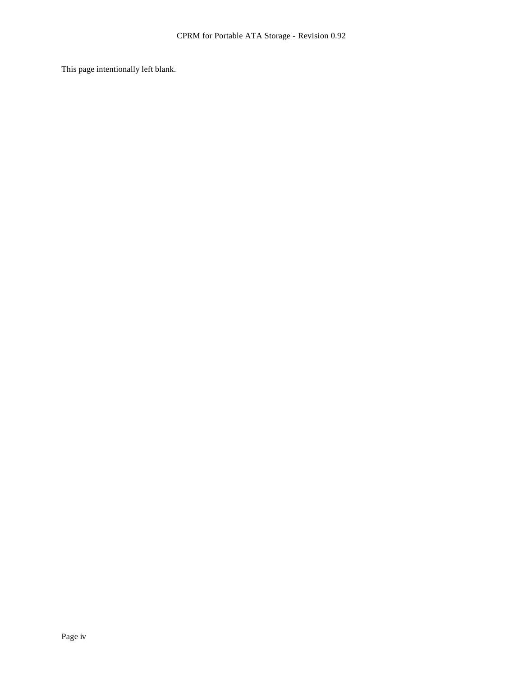This page intentionally left blank.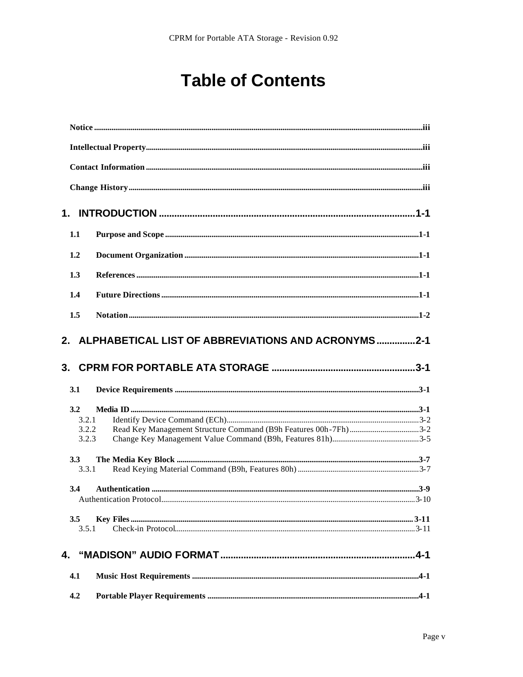## **Table of Contents**

| 1.1          |  |
|--------------|--|
| 1.2          |  |
| 1.3          |  |
| 1.4          |  |
| 1.5          |  |
| 3.1          |  |
|              |  |
| 3.2<br>3.2.1 |  |
| 3.2.2        |  |
| 3.2.3        |  |
| 3.3          |  |
| 3.3.1        |  |
|              |  |
|              |  |
| 3.4          |  |
| 3.5          |  |
| 3.5.1        |  |
| 4.           |  |
| 4.1          |  |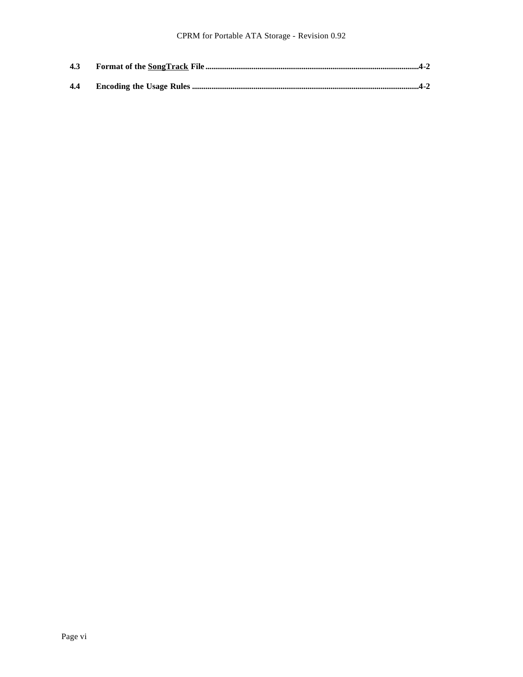| 4.3 |  |
|-----|--|
|     |  |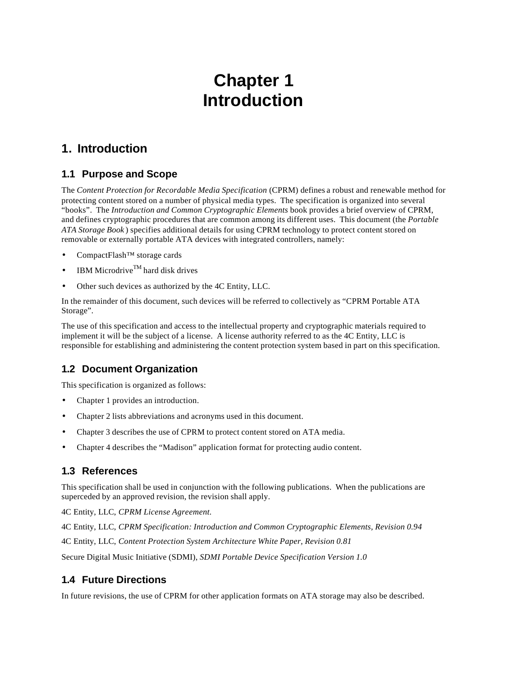## **Chapter 1 Introduction**

## **1. Introduction**

## **1.1 Purpose and Scope**

The *Content Protection for Recordable Media Specification* (CPRM) defines a robust and renewable method for protecting content stored on a number of physical media types. The specification is organized into several "books". The *Introduction and Common Cryptographic Elements* book provides a brief overview of CPRM, and defines cryptographic procedures that are common among its different uses. This document (the *Portable ATA Storage Book* ) specifies additional details for using CPRM technology to protect content stored on removable or externally portable ATA devices with integrated controllers, namely:

- CompactFlash™ storage cards
- IBM Microdrive<sup>TM</sup> hard disk drives
- Other such devices as authorized by the 4C Entity, LLC.

In the remainder of this document, such devices will be referred to collectively as "CPRM Portable ATA Storage".

The use of this specification and access to the intellectual property and cryptographic materials required to implement it will be the subject of a license. A license authority referred to as the 4C Entity, LLC is responsible for establishing and administering the content protection system based in part on this specification.

## **1.2 Document Organization**

This specification is organized as follows:

- Chapter 1 provides an introduction.
- Chapter 2 lists abbreviations and acronyms used in this document.
- Chapter 3 describes the use of CPRM to protect content stored on ATA media.
- Chapter 4 describes the "Madison" application format for protecting audio content.

## **1.3 References**

This specification shall be used in conjunction with the following publications. When the publications are superceded by an approved revision, the revision shall apply.

4C Entity, LLC, *CPRM License Agreement.*

4C Entity, LLC, *CPRM Specification: Introduction and Common Cryptographic Elements, Revision 0.94*

4C Entity, LLC, *Content Protection System Architecture White Paper, Revision 0.81*

Secure Digital Music Initiative (SDMI), *SDMI Portable Device Specification Version 1.0*

## **1.4 Future Directions**

In future revisions, the use of CPRM for other application formats on ATA storage may also be described.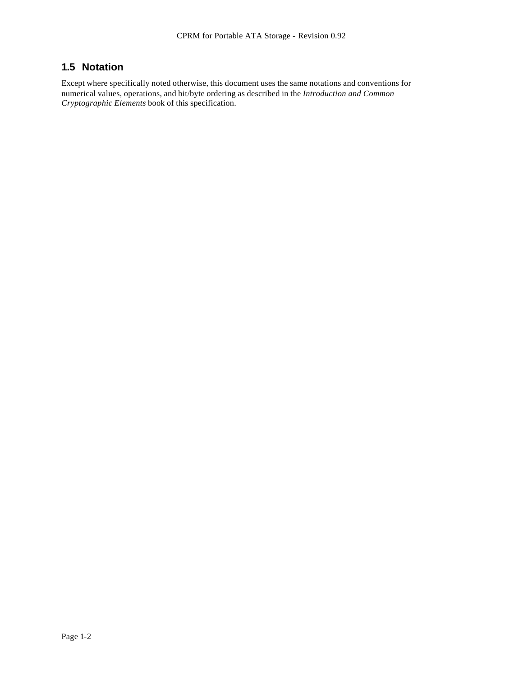## **1.5 Notation**

Except where specifically noted otherwise, this document uses the same notations and conventions for numerical values, operations, and bit/byte ordering as described in the *Introduction and Common Cryptographic Elements* book of this specification.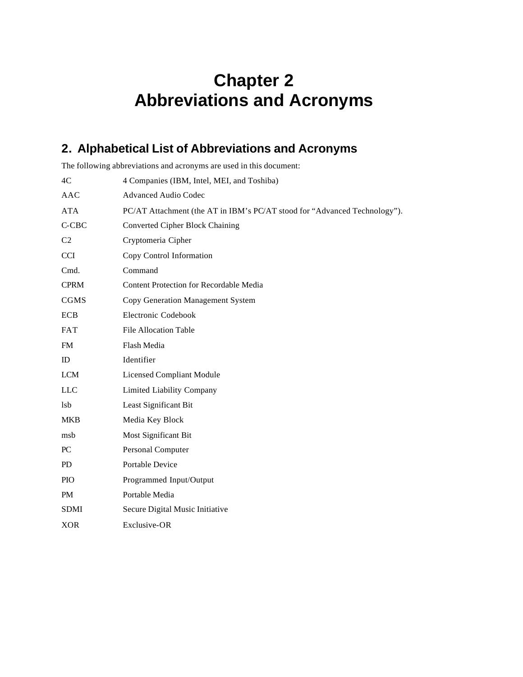## **Chapter 2 Abbreviations and Acronyms**

## **2. Alphabetical List of Abbreviations and Acronyms**

The following abbreviations and acronyms are used in this document:

| 4C             | 4 Companies (IBM, Intel, MEI, and Toshiba)                                |
|----------------|---------------------------------------------------------------------------|
| AAC            | <b>Advanced Audio Codec</b>                                               |
| <b>ATA</b>     | PC/AT Attachment (the AT in IBM's PC/AT stood for "Advanced Technology"). |
| C-CBC          | <b>Converted Cipher Block Chaining</b>                                    |
| C <sub>2</sub> | Cryptomeria Cipher                                                        |
| <b>CCI</b>     | Copy Control Information                                                  |
| Cmd.           | Command                                                                   |
| <b>CPRM</b>    | <b>Content Protection for Recordable Media</b>                            |
| <b>CGMS</b>    | Copy Generation Management System                                         |
| <b>ECB</b>     | Electronic Codebook                                                       |
| <b>FAT</b>     | <b>File Allocation Table</b>                                              |
| <b>FM</b>      | Flash Media                                                               |
| ID             | Identifier                                                                |
| <b>LCM</b>     | <b>Licensed Compliant Module</b>                                          |
| LLC            | Limited Liability Company                                                 |
| <b>lsb</b>     | Least Significant Bit                                                     |
| <b>MKB</b>     | Media Key Block                                                           |
| msb            | Most Significant Bit                                                      |
| PC             | Personal Computer                                                         |
| PD.            | Portable Device                                                           |
| PIO            | Programmed Input/Output                                                   |
| PM             | Portable Media                                                            |
| <b>SDMI</b>    | Secure Digital Music Initiative                                           |
| <b>XOR</b>     | Exclusive-OR                                                              |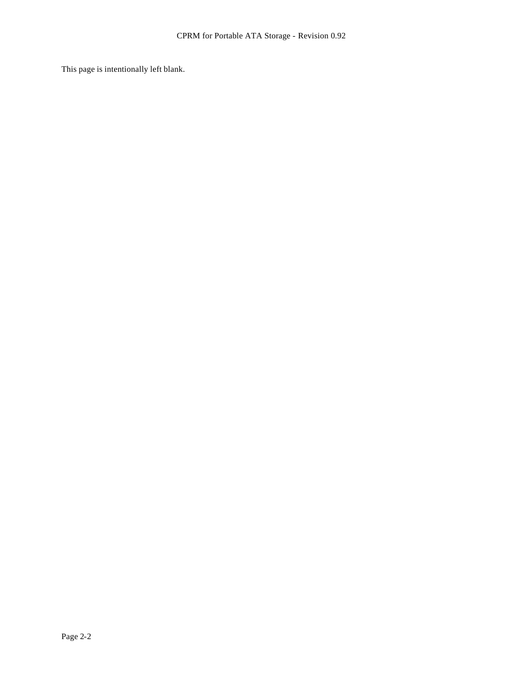This page is intentionally left blank.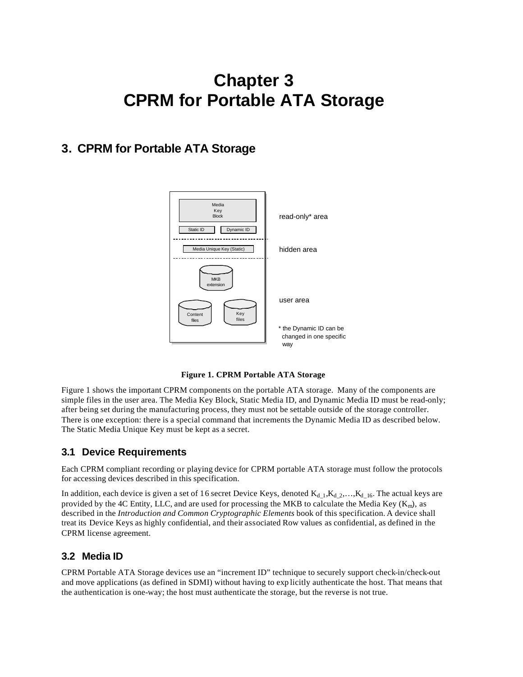## **Chapter 3 CPRM for Portable ATA Storage**

## **3. CPRM for Portable ATA Storage**





Figure 1 shows the important CPRM components on the portable ATA storage. Many of the components are simple files in the user area. The Media Key Block, Static Media ID, and Dynamic Media ID must be read-only; after being set during the manufacturing process, they must not be settable outside of the storage controller. There is one exception: there is a special command that increments the Dynamic Media ID as described below. The Static Media Unique Key must be kept as a secret.

## **3.1 Device Requirements**

Each CPRM compliant recording or playing device for CPRM portable ATA storage must follow the protocols for accessing devices described in this specification.

In addition, each device is given a set of 16 secret Device Keys, denoted  $K_{d,1}, K_{d,2},...,K_{d,16}$ . The actual keys are provided by the 4C Entity, LLC, and are used for processing the MKB to calculate the Media Key ( $K_m$ ), as described in the *Introduction and Common Cryptographic Elements* book of this specification. A device shall treat its Device Keys as highly confidential, and their associated Row values as confidential, as defined in the CPRM license agreement.

## **3.2 Media ID**

CPRM Portable ATA Storage devices use an "increment ID" technique to securely support check-in/check-out and move applications (as defined in SDMI) without having to exp licitly authenticate the host. That means that the authentication is one-way; the host must authenticate the storage, but the reverse is not true.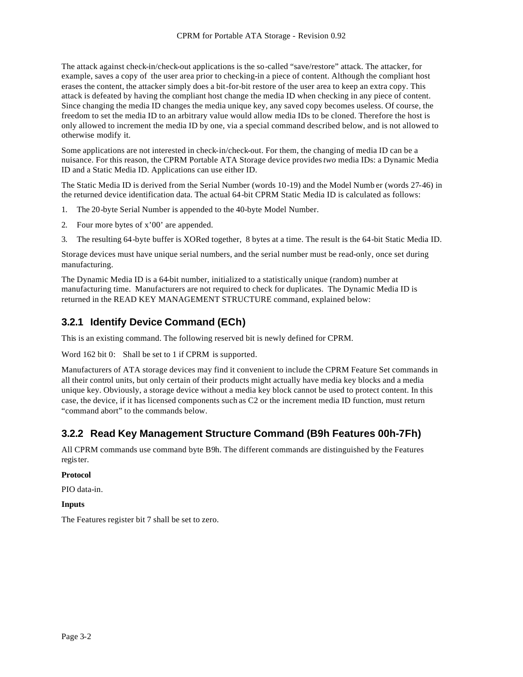The attack against check-in/check-out applications is the so-called "save/restore" attack. The attacker, for example, saves a copy of the user area prior to checking-in a piece of content. Although the compliant host erases the content, the attacker simply does a bit-for-bit restore of the user area to keep an extra copy. This attack is defeated by having the compliant host change the media ID when checking in any piece of content. Since changing the media ID changes the media unique key, any saved copy becomes useless. Of course, the freedom to set the media ID to an arbitrary value would allow media IDs to be cloned. Therefore the host is only allowed to increment the media ID by one, via a special command described below, and is not allowed to otherwise modify it.

Some applications are not interested in check-in/check-out. For them, the changing of media ID can be a nuisance. For this reason, the CPRM Portable ATA Storage device provides *two* media IDs: a Dynamic Media ID and a Static Media ID. Applications can use either ID.

The Static Media ID is derived from the Serial Number (words 10-19) and the Model Numb er (words 27-46) in the returned device identification data. The actual 64-bit CPRM Static Media ID is calculated as follows:

- 1. The 20-byte Serial Number is appended to the 40-byte Model Number.
- 2. Four more bytes of x'00' are appended.
- 3. The resulting 64-byte buffer is XORed together, 8 bytes at a time. The result is the 64-bit Static Media ID.

Storage devices must have unique serial numbers, and the serial number must be read-only, once set during manufacturing.

The Dynamic Media ID is a 64-bit number, initialized to a statistically unique (random) number at manufacturing time. Manufacturers are not required to check for duplicates. The Dynamic Media ID is returned in the READ KEY MANAGEMENT STRUCTURE command, explained below:

## **3.2.1 Identify Device Command (ECh)**

This is an existing command. The following reserved bit is newly defined for CPRM.

Word 162 bit 0: Shall be set to 1 if CPRM is supported.

Manufacturers of ATA storage devices may find it convenient to include the CPRM Feature Set commands in all their control units, but only certain of their products might actually have media key blocks and a media unique key. Obviously, a storage device without a media key block cannot be used to protect content. In this case, the device, if it has licensed components such as C2 or the increment media ID function, must return "command abort" to the commands below.

## **3.2.2 Read Key Management Structure Command (B9h Features 00h-7Fh)**

All CPRM commands use command byte B9h. The different commands are distinguished by the Features register.

#### **Protocol**

PIO data-in.

**Inputs**

The Features register bit 7 shall be set to zero.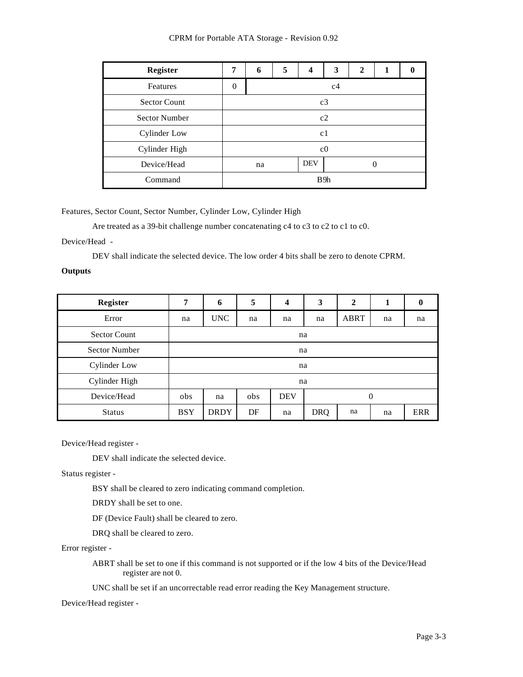| <b>Register</b>      | 7                | 6  | 5 | 4          | 3 | 2 | 1 |  |
|----------------------|------------------|----|---|------------|---|---|---|--|
| Features             | $\overline{0}$   | c4 |   |            |   |   |   |  |
| Sector Count         |                  | c3 |   |            |   |   |   |  |
| <b>Sector Number</b> | c2               |    |   |            |   |   |   |  |
| <b>Cylinder Low</b>  | c1               |    |   |            |   |   |   |  |
| Cylinder High        | $_{\rm c0}$      |    |   |            |   |   |   |  |
| Device/Head          |                  | na |   | <b>DEV</b> |   |   | 0 |  |
| Command              | B <sub>9</sub> h |    |   |            |   |   |   |  |

Features, Sector Count, Sector Number, Cylinder Low, Cylinder High

Are treated as a 39-bit challenge number concatenating c4 to c3 to c2 to c1 to c0.

#### Device/Head -

DEV shall indicate the selected device. The low order 4 bits shall be zero to denote CPRM.

#### **Outputs**

| <b>Register</b>      | 7          | 6           | 5   | $\overline{\mathbf{4}}$ | 3              | $\mathbf{2}$ | 1  | $\bf{0}$   |
|----------------------|------------|-------------|-----|-------------------------|----------------|--------------|----|------------|
| Error                | na         | <b>UNC</b>  | na  | na                      | na             | ABRT         | na | na         |
| Sector Count         |            | na          |     |                         |                |              |    |            |
| <b>Sector Number</b> | na         |             |     |                         |                |              |    |            |
| <b>Cylinder Low</b>  |            | na          |     |                         |                |              |    |            |
| Cylinder High        |            | na          |     |                         |                |              |    |            |
| Device/Head          | obs        | na          | obs | <b>DEV</b>              | $\overline{0}$ |              |    |            |
| <b>Status</b>        | <b>BSY</b> | <b>DRDY</b> | DF  | na                      | <b>DRQ</b>     | na           | na | <b>ERR</b> |

Device/Head register -

DEV shall indicate the selected device.

Status register -

BSY shall be cleared to zero indicating command completion.

DRDY shall be set to one.

DF (Device Fault) shall be cleared to zero.

DRQ shall be cleared to zero.

Error register -

ABRT shall be set to one if this command is not supported or if the low 4 bits of the Device/Head register are not 0.

UNC shall be set if an uncorrectable read error reading the Key Management structure.

Device/Head register -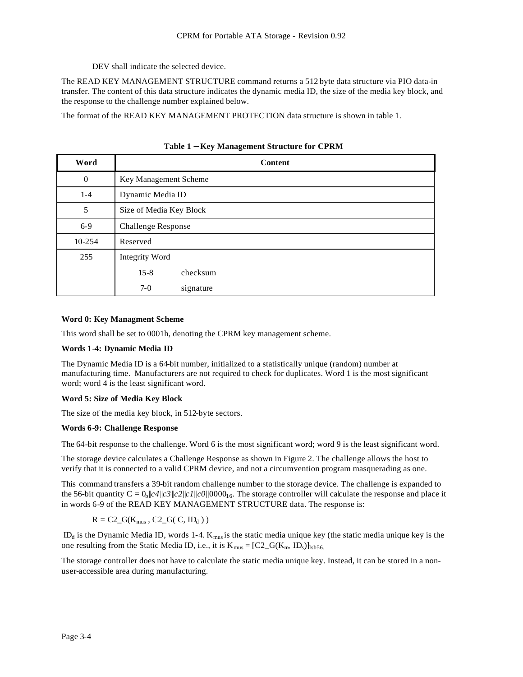DEV shall indicate the selected device.

The READ KEY MANAGEMENT STRUCTURE command returns a 512 byte data structure via PIO data-in transfer. The content of this data structure indicates the dynamic media ID, the size of the media key block, and the response to the challenge number explained below.

The format of the READ KEY MANAGEMENT PROTECTION data structure is shown in table 1.

| Word           |                | <b>Content</b>            |  |  |  |  |  |  |
|----------------|----------------|---------------------------|--|--|--|--|--|--|
| $\overline{0}$ |                | Key Management Scheme     |  |  |  |  |  |  |
| $1 - 4$        |                | Dynamic Media ID          |  |  |  |  |  |  |
| 5              |                | Size of Media Key Block   |  |  |  |  |  |  |
| $6-9$          |                | <b>Challenge Response</b> |  |  |  |  |  |  |
| 10-254         | Reserved       |                           |  |  |  |  |  |  |
| 255            | Integrity Word |                           |  |  |  |  |  |  |
|                | $15 - 8$       | checksum                  |  |  |  |  |  |  |
|                | $7-0$          | signature                 |  |  |  |  |  |  |

**Table 1 - Key Management Structure for CPRM**

#### **Word 0: Key Managment Scheme**

This word shall be set to 0001h, denoting the CPRM key management scheme.

#### **Words 1-4: Dynamic Media ID**

The Dynamic Media ID is a 64-bit number, initialized to a statistically unique (random) number at manufacturing time. Manufacturers are not required to check for duplicates. Word 1 is the most significant word; word 4 is the least significant word.

#### **Word 5: Size of Media Key Block**

The size of the media key block, in 512-byte sectors.

#### **Words 6-9: Challenge Response**

The 64-bit response to the challenge. Word 6 is the most significant word; word 9 is the least significant word.

The storage device calculates a Challenge Response as shown in Figure 2. The challenge allows the host to verify that it is connected to a valid CPRM device, and not a circumvention program masquerading as one.

This command transfers a 39-bit random challenge number to the storage device. The challenge is expanded to the 56-bit quantity  $C = 0_0 ||c4||c3||c2||c1||c0||0000_{16}$ . The storage controller will calculate the response and place it in words 6-9 of the READ KEY MANAGEMENT STRUCTURE data. The response is:

$$
R = C2\_G(K_{mus}\,,\,C2\_G(\,\,C,\,ID_d\,)\,)
$$

 $ID_d$  is the Dynamic Media ID, words 1-4.  $K_{mus}$  is the static media unique key (the static media unique key is the one resulting from the Static Media ID, i.e., it is  $K_{mus} = [C2_G(K_{nn}, ID_s)]_{lsb56.}$ 

The storage controller does not have to calculate the static media unique key. Instead, it can be stored in a nonuser-accessible area during manufacturing.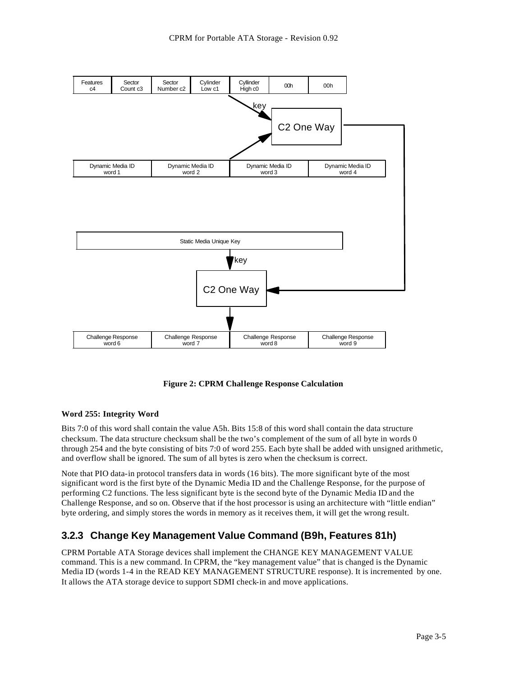

**Figure 2: CPRM Challenge Response Calculation**

#### **Word 255: Integrity Word**

Bits 7:0 of this word shall contain the value A5h. Bits 15:8 of this word shall contain the data structure checksum. The data structure checksum shall be the two's complement of the sum of all byte in words 0 through 254 and the byte consisting of bits 7:0 of word 255. Each byte shall be added with unsigned arithmetic, and overflow shall be ignored. The sum of all bytes is zero when the checksum is correct.

Note that PIO data-in protocol transfers data in words (16 bits). The more significant byte of the most significant word is the first byte of the Dynamic Media ID and the Challenge Response, for the purpose of performing C2 functions. The less significant byte is the second byte of the Dynamic Media ID and the Challenge Response, and so on. Observe that if the host processor is using an architecture with "little endian" byte ordering, and simply stores the words in memory as it receives them, it will get the wrong result.

### **3.2.3 Change Key Management Value Command (B9h, Features 81h)**

CPRM Portable ATA Storage devices shall implement the CHANGE KEY MANAGEMENT VALUE command. This is a new command. In CPRM, the "key management value" that is changed is the Dynamic Media ID (words 1-4 in the READ KEY MANAGEMENT STRUCTURE response). It is incremented by one. It allows the ATA storage device to support SDMI check-in and move applications.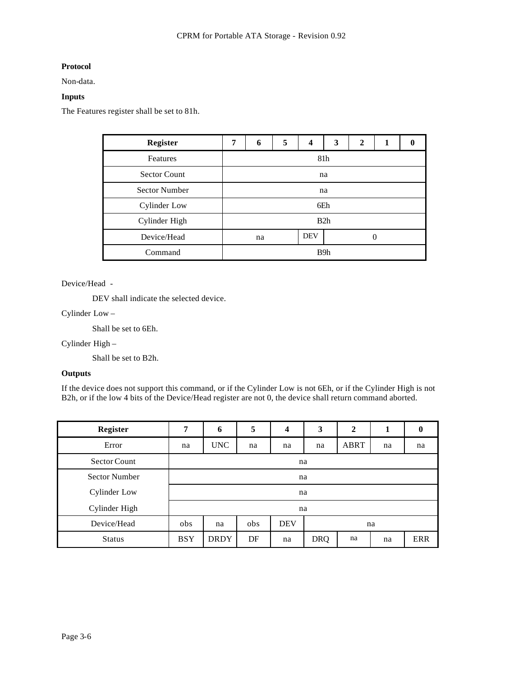#### **Protocol**

Non-data.

#### **Inputs**

The Features register shall be set to 81h.

| <b>Register</b>      | 7   | 6   | 5 | 4          | 3                | 2 | 1        | 0 |
|----------------------|-----|-----|---|------------|------------------|---|----------|---|
| Features             | 81h |     |   |            |                  |   |          |   |
| <b>Sector Count</b>  |     | na  |   |            |                  |   |          |   |
| <b>Sector Number</b> |     | na  |   |            |                  |   |          |   |
| <b>Cylinder Low</b>  |     | 6Eh |   |            |                  |   |          |   |
| Cylinder High        |     | B2h |   |            |                  |   |          |   |
| Device/Head          |     | na  |   | <b>DEV</b> |                  |   | $\Omega$ |   |
| Command              |     |     |   |            | B <sub>9</sub> h |   |          |   |

Device/Head -

DEV shall indicate the selected device.

Cylinder Low –

Shall be set to 6Eh.

Cylinder High –

Shall be set to B2h.

#### **Outputs**

If the device does not support this command, or if the Cylinder Low is not 6Eh, or if the Cylinder High is not B2h, or if the low 4 bits of the Device/Head register are not 0, the device shall return command aborted.

| <b>Register</b>      | 7          | 6           | 5   | $\overline{\mathbf{4}}$ | 3          | $\mathbf{2}$ | 1  | $\bf{0}$   |  |
|----------------------|------------|-------------|-----|-------------------------|------------|--------------|----|------------|--|
| Error                | na         | <b>UNC</b>  | na  | na                      | na         | ABRT         | na | na         |  |
| Sector Count         |            | na          |     |                         |            |              |    |            |  |
| <b>Sector Number</b> | na         |             |     |                         |            |              |    |            |  |
| <b>Cylinder Low</b>  |            | na          |     |                         |            |              |    |            |  |
| Cylinder High        |            | na          |     |                         |            |              |    |            |  |
| Device/Head          | obs        | na          | obs | <b>DEV</b>              |            | na           |    |            |  |
| <b>Status</b>        | <b>BSY</b> | <b>DRDY</b> | DF  | na                      | <b>DRQ</b> | na           | na | <b>ERR</b> |  |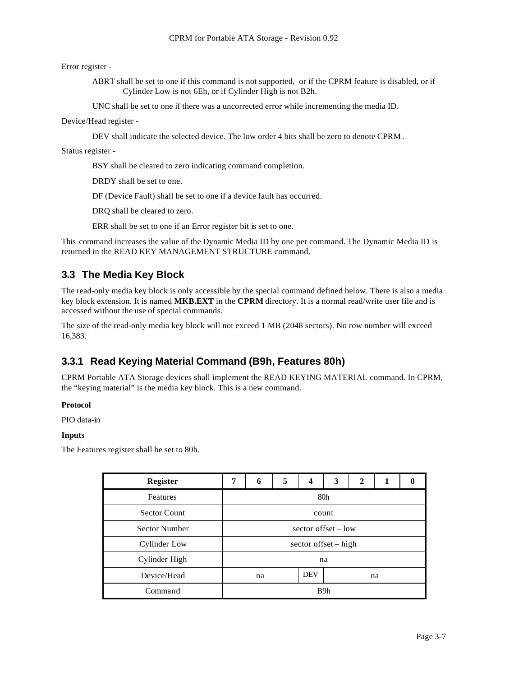Error register -

ABRT shall be set to one if this command is not supported, or if the CPRM feature is disabled, or if Cylinder Low is not 6Eh, or if Cylinder High is not B2h.

UNC shall be set to one if there was a uncorrected error while incrementing the media ID.

Device/Head register -

DEV shall indicate the selected device. The low order 4 bits shall be zero to denote CPRM .

Status register -

BSY shall be cleared to zero indicating command completion.

DRDY shall be set to one.

DF (Device Fault) shall be set to one if a device fault has occurred.

DRQ shall be cleared to zero.

ERR shall be set to one if an Error register bit is set to one.

This command increases the value of the Dynamic Media ID by one per command. The Dynamic Media ID is returned in the READ KEY MANAGEMENT STRUCTURE command.

### **3.3 The Media Key Block**

The read-only media key block is only accessible by the special command defined below. There is also a media key block extension. It is named **MKB.EXT** in the **CPRM** directory. It is a normal read/write user file and is accessed without the use of special commands.

The size of the read-only media key block will not exceed 1 MB (2048 sectors). No row number will exceed 16,383.

## **3.3.1 Read Keying Material Command (B9h, Features 80h)**

CPRM Portable ATA Storage devices shall implement the READ KEYING MATERIAL command. In CPRM, the "keying material" is the media key block. This is a new command.

#### **Protocol**

PIO data-in

#### **Inputs**

The Features register shall be set to 80h.

| <b>Register</b>      | 7                    | 6     | 5 | 4          | 3 | 2  | 1 | 0 |
|----------------------|----------------------|-------|---|------------|---|----|---|---|
| Features             | 80h                  |       |   |            |   |    |   |   |
| <b>Sector Count</b>  |                      | count |   |            |   |    |   |   |
| <b>Sector Number</b> | sector offset – low  |       |   |            |   |    |   |   |
| <b>Cylinder Low</b>  | sector offset – high |       |   |            |   |    |   |   |
| Cylinder High        | na                   |       |   |            |   |    |   |   |
| Device/Head          |                      | na    |   | <b>DEV</b> |   | na |   |   |
| Command              | B <sub>9</sub> h     |       |   |            |   |    |   |   |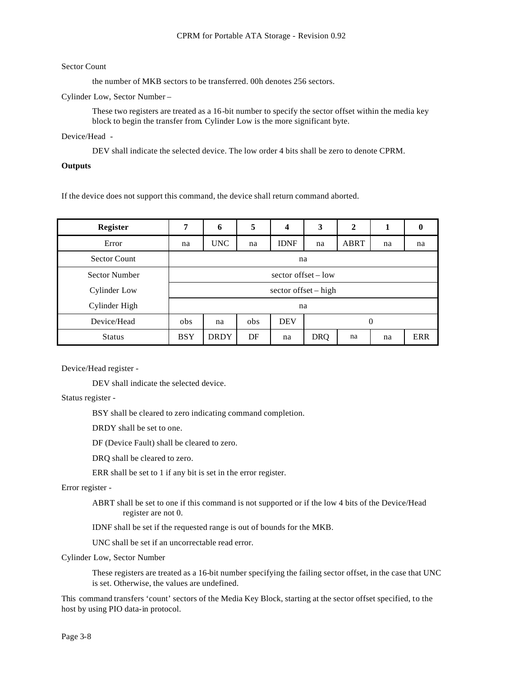#### Sector Count

the number of MKB sectors to be transferred. 00h denotes 256 sectors.

Cylinder Low, Sector Number –

These two registers are treated as a 16-bit number to specify the sector offset within the media key block to begin the transfer from. Cylinder Low is the more significant byte.

#### Device/Head -

DEV shall indicate the selected device. The low order 4 bits shall be zero to denote CPRM.

#### **Outputs**

If the device does not support this command, the device shall return command aborted.

| <b>Register</b>      | 7                    | 6           | 5   | 4           | 3   | $\mathbf{2}$ | 1  | 0   |
|----------------------|----------------------|-------------|-----|-------------|-----|--------------|----|-----|
| Error                | na                   | <b>UNC</b>  | na  | <b>IDNF</b> | na  | ABRT         | na | na  |
| <b>Sector Count</b>  |                      | na          |     |             |     |              |    |     |
| <b>Sector Number</b> | sector offset – low  |             |     |             |     |              |    |     |
| <b>Cylinder Low</b>  | sector offset – high |             |     |             |     |              |    |     |
| Cylinder High        | na                   |             |     |             |     |              |    |     |
| Device/Head          | obs                  | na          | obs | <b>DEV</b>  | 0   |              |    |     |
| <b>Status</b>        | <b>BSY</b>           | <b>DRDY</b> | DF  | na          | DRQ | na           | na | ERR |

Device/Head register -

DEV shall indicate the selected device.

Status register -

BSY shall be cleared to zero indicating command completion.

DRDY shall be set to one.

DF (Device Fault) shall be cleared to zero.

DRQ shall be cleared to zero.

ERR shall be set to 1 if any bit is set in the error register.

#### Error register -

ABRT shall be set to one if this command is not supported or if the low 4 bits of the Device/Head register are not 0.

IDNF shall be set if the requested range is out of bounds for the MKB.

UNC shall be set if an uncorrectable read error.

Cylinder Low, Sector Number

These registers are treated as a 16-bit number specifying the failing sector offset, in the case that UNC is set. Otherwise, the values are undefined.

This command transfers 'count' sectors of the Media Key Block, starting at the sector offset specified, to the host by using PIO data-in protocol.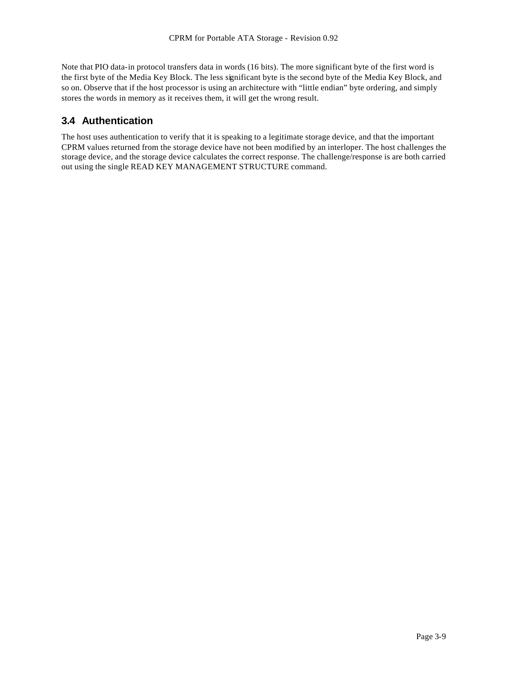Note that PIO data-in protocol transfers data in words (16 bits). The more significant byte of the first word is the first byte of the Media Key Block. The less significant byte is the second byte of the Media Key Block, and so on. Observe that if the host processor is using an architecture with "little endian" byte ordering, and simply stores the words in memory as it receives them, it will get the wrong result.

### **3.4 Authentication**

The host uses authentication to verify that it is speaking to a legitimate storage device, and that the important CPRM values returned from the storage device have not been modified by an interloper. The host challenges the storage device, and the storage device calculates the correct response. The challenge/response is are both carried out using the single READ KEY MANAGEMENT STRUCTURE command.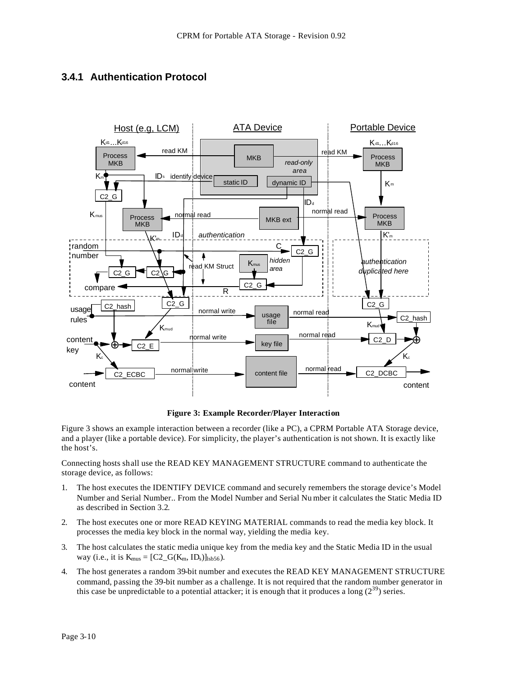## **3.4.1 Authentication Protocol**



**Figure 3: Example Recorder/Player Interaction**

Figure 3 shows an example interaction between a recorder (like a PC), a CPRM Portable ATA Storage device, and a player (like a portable device). For simplicity, the player's authentication is not shown. It is exactly like the host's.

Connecting hosts shall use the READ KEY MANAGEMENT STRUCTURE command to authenticate the storage device, as follows:

- 1. The host executes the IDENTIFY DEVICE command and securely remembers the storage device's Model Number and Serial Number.. From the Model Number and Serial Nu mber it calculates the Static Media ID as described in Section 3.2.
- 2. The host executes one or more READ KEYING MATERIAL commands to read the media key block. It processes the media key block in the normal way, yielding the media key.
- 3. The host calculates the static media unique key from the media key and the Static Media ID in the usual way (i.e., it is  $K_{mus} = [C2_G(K_m, ID_s)]_{lsb56}$ ).
- 4. The host generates a random 39-bit number and executes the READ KEY MANAGEMENT STRUCTURE command, passing the 39-bit number as a challenge. It is not required that the random number generator in this case be unpredictable to a potential attacker; it is enough that it produces a long  $(2^{39})$  series.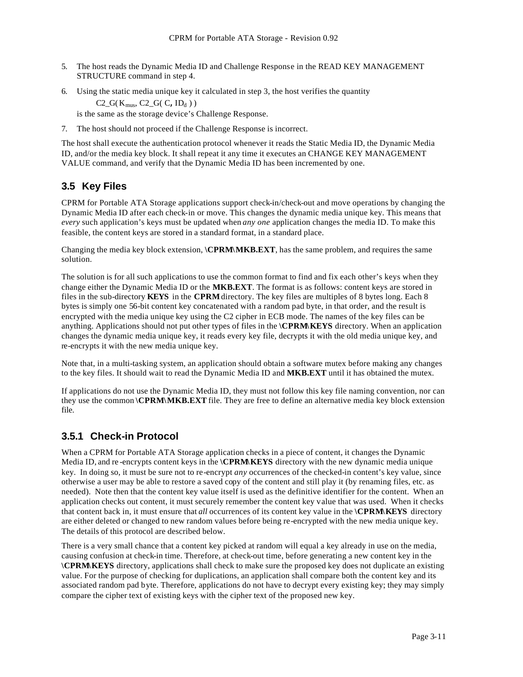- 5. The host reads the Dynamic Media ID and Challenge Response in the READ KEY MANAGEMENT STRUCTURE command in step 4.
- 6. Using the static media unique key it calculated in step 3, the host verifies the quantity  $C2\_G(K_{mus}, C2\_G(C, ID_{d}))$

is the same as the storage device's Challenge Response.

7. The host should not proceed if the Challenge Response is incorrect.

The host shall execute the authentication protocol whenever it reads the Static Media ID, the Dynamic Media ID, and/or the media key block. It shall repeat it any time it executes an CHANGE KEY MANAGEMENT VALUE command, and verify that the Dynamic Media ID has been incremented by one.

### **3.5 Key Files**

CPRM for Portable ATA Storage applications support check-in/check-out and move operations by changing the Dynamic Media ID after each check-in or move. This changes the dynamic media unique key. This means that *every* such application's keys must be updated when *any one* application changes the media ID. To make this feasible, the content keys are stored in a standard format, in a standard place.

Changing the media key block extension, **\CPRM\MKB.EXT**, has the same problem, and requires the same solution.

The solution is for all such applications to use the common format to find and fix each other's keys when they change either the Dynamic Media ID or the **MKB.EXT**. The format is as follows: content keys are stored in files in the sub-directory **KEYS** in the **CPRM** directory. The key files are multiples of 8 bytes long. Each 8 bytes is simply one 56-bit content key concatenated with a random pad byte, in that order, and the result is encrypted with the media unique key using the C2 cipher in ECB mode. The names of the key files can be anything. Applications should not put other types of files in the **\CPRM\KEYS** directory. When an application changes the dynamic media unique key, it reads every key file, decrypts it with the old media unique key, and re-encrypts it with the new media unique key.

Note that, in a multi-tasking system, an application should obtain a software mutex before making any changes to the key files. It should wait to read the Dynamic Media ID and **MKB.EXT** until it has obtained the mutex.

If applications do not use the Dynamic Media ID, they must not follow this key file naming convention, nor can they use the common **\CPRM\MKB.EXT** file. They are free to define an alternative media key block extension file.

### **3.5.1 Check-in Protocol**

When a CPRM for Portable ATA Storage application checks in a piece of content, it changes the Dynamic Media ID, and re -encrypts content keys in the **\CPRM\KEYS** directory with the new dynamic media unique key. In doing so, it must be sure not to re-encrypt *any* occurrences of the checked-in content's key value, since otherwise a user may be able to restore a saved copy of the content and still play it (by renaming files, etc. as needed). Note then that the content key value itself is used as the definitive identifier for the content. When an application checks out content, it must securely remember the content key value that was used. When it checks that content back in, it must ensure that *all* occurrences of its content key value in the **\CPRM\KEYS** directory are either deleted or changed to new random values before being re-encrypted with the new media unique key. The details of this protocol are described below.

There is a very small chance that a content key picked at random will equal a key already in use on the media, causing confusion at check-in time. Therefore, at check-out time, before generating a new content key in the **\CPRM\KEYS** directory, applications shall check to make sure the proposed key does not duplicate an existing value. For the purpose of checking for duplications, an application shall compare both the content key and its associated random pad byte. Therefore, applications do not have to decrypt every existing key; they may simply compare the cipher text of existing keys with the cipher text of the proposed new key.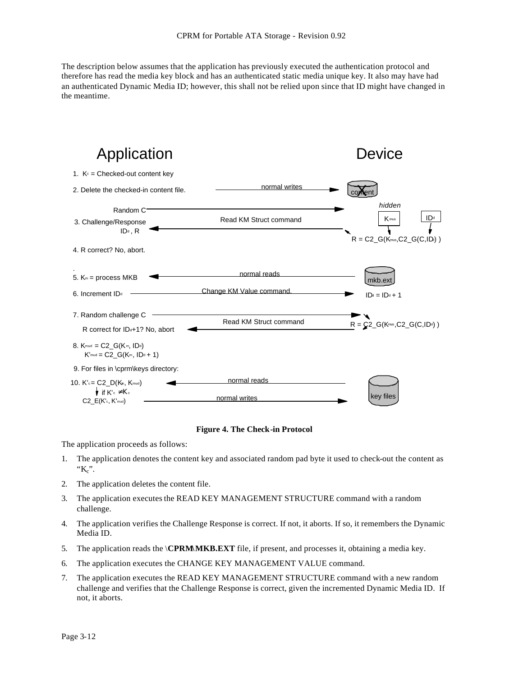The description below assumes that the application has previously executed the authentication protocol and therefore has read the media key block and has an authenticated static media unique key. It also may have had an authenticated Dynamic Media ID; however, this shall not be relied upon since that ID might have changed in the meantime.



#### **Figure 4. The Check-in Protocol**

The application proceeds as follows:

- 1. The application denotes the content key and associated random pad byte it used to check-out the content as " $K_c$ ".
- 2. The application deletes the content file.
- 3. The application executes the READ KEY MANAGEMENT STRUCTURE command with a random challenge.
- 4. The application verifies the Challenge Response is correct. If not, it aborts. If so, it remembers the Dynamic Media ID.
- 5. The application reads the \**CPRM\MKB.EXT** file, if present, and processes it, obtaining a media key.
- 6. The application executes the CHANGE KEY MANAGEMENT VALUE command.
- 7. The application executes the READ KEY MANAGEMENT STRUCTURE command with a new random challenge and verifies that the Challenge Response is correct, given the incremented Dynamic Media ID. If not, it aborts.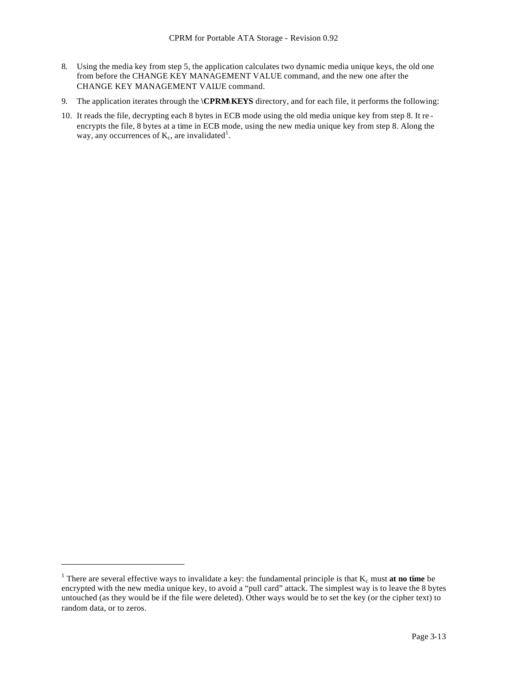- 8. Using the media key from step 5, the application calculates two dynamic media unique keys, the old one from before the CHANGE KEY MANAGEMENT VALUE command, and the new one after the CHANGE KEY MANAGEMENT VALUE command.
- 9. The application iterates through the **\CPRM\KEYS** directory, and for each file, it performs the following:
- 10. It reads the file, decrypting each 8 bytes in ECB mode using the old media unique key from step 8. It re encrypts the file, 8 bytes at a time in ECB mode, using the new media unique key from step 8. Along the way, any occurrences of  $K_c$ , are invalidated<sup>1</sup>.

l

<sup>&</sup>lt;sup>1</sup> There are several effective ways to invalidate a key: the fundamental principle is that  $K_c$  must **at no time** be encrypted with the new media unique key, to avoid a "pull card" attack. The simplest way is to leave the 8 bytes untouched (as they would be if the file were deleted). Other ways would be to set the key (or the cipher text) to random data, or to zeros.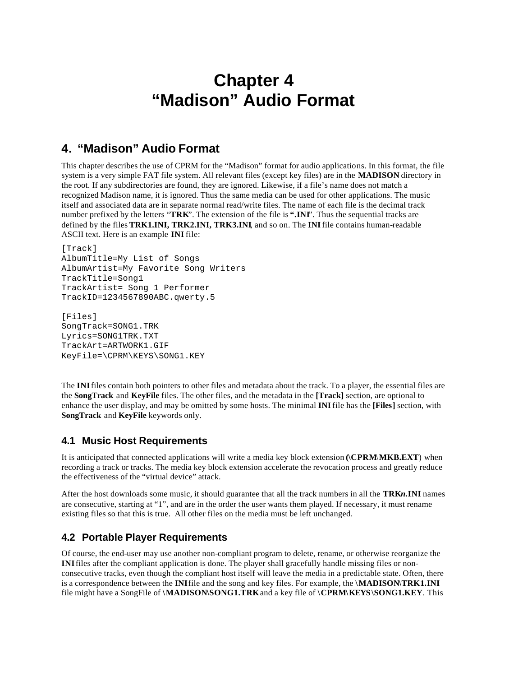## **Chapter 4 "Madison" Audio Format**

## **4. "Madison" Audio Format**

This chapter describes the use of CPRM for the "Madison" format for audio applications. In this format, the file system is a very simple FAT file system. All relevant files (except key files) are in the **MADISON** directory in the root. If any subdirectories are found, they are ignored. Likewise, if a file's name does not match a recognized Madison name, it is ignored. Thus the same media can be used for other applications. The music itself and associated data are in separate normal read/write files. The name of each file is the decimal track number prefixed by the letters "**TRK**". The extension of the file is **".INI**". Thus the sequential tracks are defined by the files **TRK1.INI, TRK2.INI, TRK3.INI**, and so on. The **INI** file contains human-readable ASCII text. Here is an example **INI** file:

```
[Track]
AlbumTitle=My List of Songs
AlbumArtist=My Favorite Song Writers
TrackTitle=Song1
TrackArtist= Song 1 Performer
TrackID=1234567890ABC.qwerty.5
```

```
[Files]
SongTrack=SONG1.TRK
Lyrics=SONG1TRK.TXT
TrackArt=ARTWORK1.GIF
KeyFile=\CPRM\KEYS\SONG1.KEY
```
The **INI** files contain both pointers to other files and metadata about the track. To a player, the essential files are the **SongTrack** and **KeyFile** files. The other files, and the metadata in the **[Track]** section, are optional to enhance the user display, and may be omitted by some hosts. The minimal **INI** file has the **[Files]** section, with **SongTrack** and **KeyFile** keywords only.

## **4.1 Music Host Requirements**

It is anticipated that connected applications will write a media key block extension **(\CPRM**\**MKB.EXT**) when recording a track or tracks. The media key block extension accelerate the revocation process and greatly reduce the effectiveness of the "virtual device" attack.

After the host downloads some music, it should guarantee that all the track numbers in all the **TRK***n***.INI** names are consecutive, starting at "1", and are in the order the user wants them played. If necessary, it must rename existing files so that this is true. All other files on the media must be left unchanged.

## **4.2 Portable Player Requirements**

Of course, the end-user may use another non-compliant program to delete, rename, or otherwise reorganize the **INI** files after the compliant application is done. The player shall gracefully handle missing files or nonconsecutive tracks, even though the compliant host itself will leave the media in a predictable state. Often, there is a correspondence between the **INI** file and the song and key files. For example, the **\MADISON\TRK1.INI** file might have a SongFile of **\MADISON\SONG1.TRK** and a key file of **\CPRM\KEYS\SONG1.KEY**. This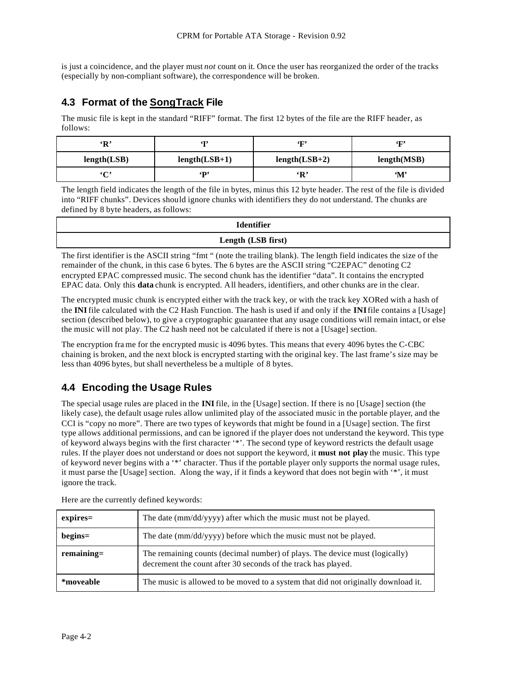is just a coincidence, and the player must *not* count on it. Once the user has reorganized the order of the tracks (especially by non-compliant software), the correspondence will be broken.

## **4.3 Format of the SongTrack File**

The music file is kept in the standard "RIFF" format. The first 12 bytes of the file are the RIFF header, as follows:

| ٠R,         | 6T <sub>2</sub> | $\mathbf{F}$    | ٠π          |  |  |
|-------------|-----------------|-----------------|-------------|--|--|
| length(LSB) | $length(LSB+1)$ | $length(LSB+2)$ | length(MSB) |  |  |
| د ص         | 6D)             | ʻR'             | 'M'         |  |  |

The length field indicates the length of the file in bytes, minus this 12 byte header. The rest of the file is divided into "RIFF chunks". Devices should ignore chunks with identifiers they do not understand. The chunks are defined by 8 byte headers, as follows:

| <b>Identifier</b>  |  |
|--------------------|--|
| Length (LSB first) |  |

The first identifier is the ASCII string "fmt " (note the trailing blank). The length field indicates the size of the remainder of the chunk, in this case 6 bytes. The 6 bytes are the ASCII string "C2EPAC" denoting C2 encrypted EPAC compressed music. The second chunk has the identifier "data". It contains the encrypted EPAC data. Only this **data** chunk is encrypted. All headers, identifiers, and other chunks are in the clear.

The encrypted music chunk is encrypted either with the track key, or with the track key XORed with a hash of the **INI** file calculated with the C2 Hash Function. The hash is used if and only if the **INI** file contains a [Usage] section (described below), to give a cryptographic guarantee that any usage conditions will remain intact, or else the music will not play. The C2 hash need not be calculated if there is not a [Usage] section.

The encryption fra me for the encrypted music is 4096 bytes. This means that every 4096 bytes the C-CBC chaining is broken, and the next block is encrypted starting with the original key. The last frame's size may be less than 4096 bytes, but shall nevertheless be a multiple of 8 bytes.

## **4.4 Encoding the Usage Rules**

The special usage rules are placed in the **INI** file, in the [Usage] section. If there is no [Usage] section (the likely case), the default usage rules allow unlimited play of the associated music in the portable player, and the CCI is "copy no more". There are two types of keywords that might be found in a [Usage] section. The first type allows additional permissions, and can be ignored if the player does not understand the keyword. This type of keyword always begins with the first character '\*'. The second type of keyword restricts the default usage rules. If the player does not understand or does not support the keyword, it **must not play** the music. This type of keyword never begins with a '\*' character. Thus if the portable player only supports the normal usage rules, it must parse the [Usage] section. Along the way, if it finds a keyword that does not begin with '\*', it must ignore the track.

| $expires=$           | The date (mm/dd/yyyy) after which the music must not be played.                                                                              |
|----------------------|----------------------------------------------------------------------------------------------------------------------------------------------|
| $beginmath>beqins =$ | The date (mm/dd/yyyy) before which the music must not be played.                                                                             |
| remaining=           | The remaining counts (decimal number) of plays. The device must (logically)<br>decrement the count after 30 seconds of the track has played. |
| *moveable            | The music is allowed to be moved to a system that did not originally download it.                                                            |

Here are the currently defined keywords: